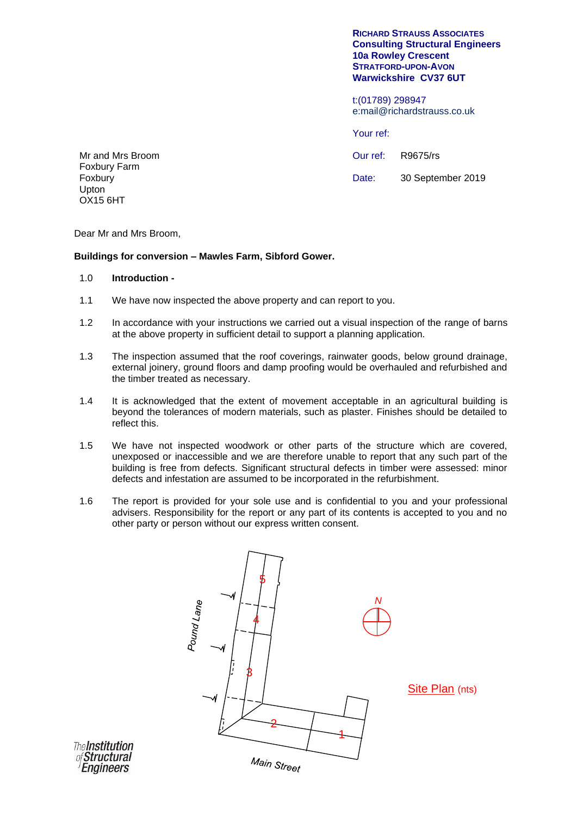#### **RICHARD STRAUSS ASSOCIATES Consulting Structural Engineers 10a Rowley Crescent STRATFORD-UPON-AVON Warwickshire CV37 6UT**

t:(01789) 298947 e:mail@richardstrauss.co.uk

Your ref:

Our ref: Date: R9675/rs 30 September 2019

Mr and Mrs Broom Foxbury Farm Foxbury Upton OX15 6HT

Dear Mr and Mrs Broom,

# **Buildings for conversion – Mawles Farm, Sibford Gower.**

## 1.0 **Introduction -**

- 1.1 We have now inspected the above property and can report to you.
- 1.2 In accordance with your instructions we carried out a visual inspection of the range of barns at the above property in sufficient detail to support a planning application.
- 1.3 The inspection assumed that the roof coverings, rainwater goods, below ground drainage, external joinery, ground floors and damp proofing would be overhauled and refurbished and the timber treated as necessary.
- 1.4 It is acknowledged that the extent of movement acceptable in an agricultural building is beyond the tolerances of modern materials, such as plaster. Finishes should be detailed to reflect this.
- 1.5 We have not inspected woodwork or other parts of the structure which are covered, unexposed or inaccessible and we are therefore unable to report that any such part of the building is free from defects. Significant structural defects in timber were assessed: minor defects and infestation are assumed to be incorporated in the refurbishment.
- 1.6 The report is provided for your sole use and is confidential to you and your professional advisers. Responsibility for the report or any part of its contents is accepted to you and no other party or person without our express written consent.



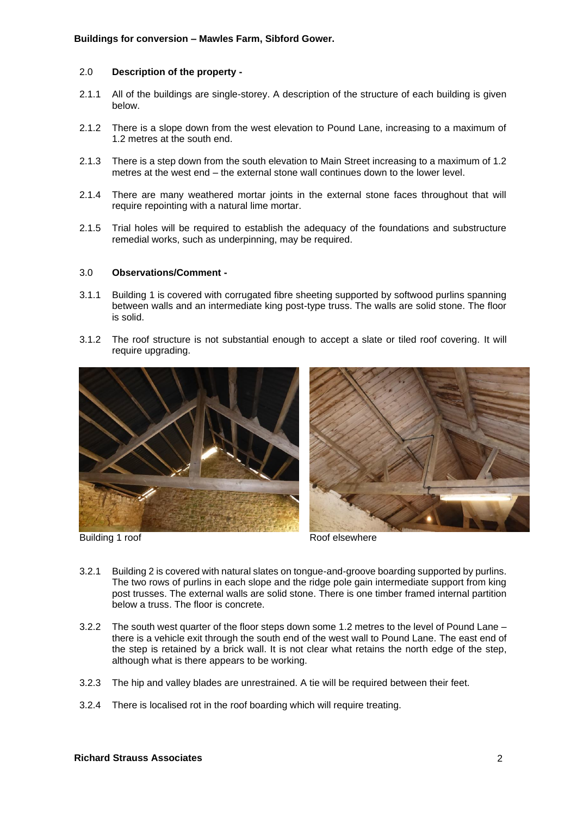## 2.0 **Description of the property -**

- 2.1.1 All of the buildings are single-storey. A description of the structure of each building is given below.
- 2.1.2 There is a slope down from the west elevation to Pound Lane, increasing to a maximum of 1.2 metres at the south end.
- 2.1.3 There is a step down from the south elevation to Main Street increasing to a maximum of 1.2 metres at the west end – the external stone wall continues down to the lower level.
- 2.1.4 There are many weathered mortar joints in the external stone faces throughout that will require repointing with a natural lime mortar.
- 2.1.5 Trial holes will be required to establish the adequacy of the foundations and substructure remedial works, such as underpinning, may be required.

### 3.0 **Observations/Comment -**

- 3.1.1 Building 1 is covered with corrugated fibre sheeting supported by softwood purlins spanning between walls and an intermediate king post-type truss. The walls are solid stone. The floor is solid.
- 3.1.2 The roof structure is not substantial enough to accept a slate or tiled roof covering. It will require upgrading.





Building 1 roof **Roof elsewhere** 

- 3.2.1 Building 2 is covered with natural slates on tongue-and-groove boarding supported by purlins. The two rows of purlins in each slope and the ridge pole gain intermediate support from king post trusses. The external walls are solid stone. There is one timber framed internal partition below a truss. The floor is concrete.
- 3.2.2 The south west quarter of the floor steps down some 1.2 metres to the level of Pound Lane there is a vehicle exit through the south end of the west wall to Pound Lane. The east end of the step is retained by a brick wall. It is not clear what retains the north edge of the step, although what is there appears to be working.
- 3.2.3 The hip and valley blades are unrestrained. A tie will be required between their feet.
- 3.2.4 There is localised rot in the roof boarding which will require treating.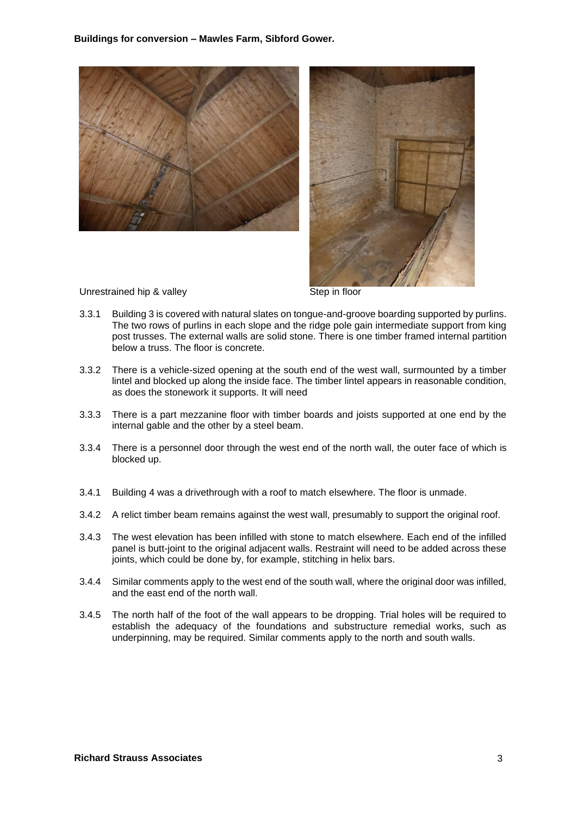**Buildings for conversion – Mawles Farm, Sibford Gower.**





Unrestrained hip & valley Step in floor

- 3.3.1 Building 3 is covered with natural slates on tongue-and-groove boarding supported by purlins. The two rows of purlins in each slope and the ridge pole gain intermediate support from king post trusses. The external walls are solid stone. There is one timber framed internal partition below a truss. The floor is concrete.
- 3.3.2 There is a vehicle-sized opening at the south end of the west wall, surmounted by a timber lintel and blocked up along the inside face. The timber lintel appears in reasonable condition, as does the stonework it supports. It will need
- 3.3.3 There is a part mezzanine floor with timber boards and joists supported at one end by the internal gable and the other by a steel beam.
- 3.3.4 There is a personnel door through the west end of the north wall, the outer face of which is blocked up.
- 3.4.1 Building 4 was a drivethrough with a roof to match elsewhere. The floor is unmade.
- 3.4.2 A relict timber beam remains against the west wall, presumably to support the original roof.
- 3.4.3 The west elevation has been infilled with stone to match elsewhere. Each end of the infilled panel is butt-joint to the original adjacent walls. Restraint will need to be added across these joints, which could be done by, for example, stitching in helix bars.
- 3.4.4 Similar comments apply to the west end of the south wall, where the original door was infilled, and the east end of the north wall.
- 3.4.5 The north half of the foot of the wall appears to be dropping. Trial holes will be required to establish the adequacy of the foundations and substructure remedial works, such as underpinning, may be required. Similar comments apply to the north and south walls.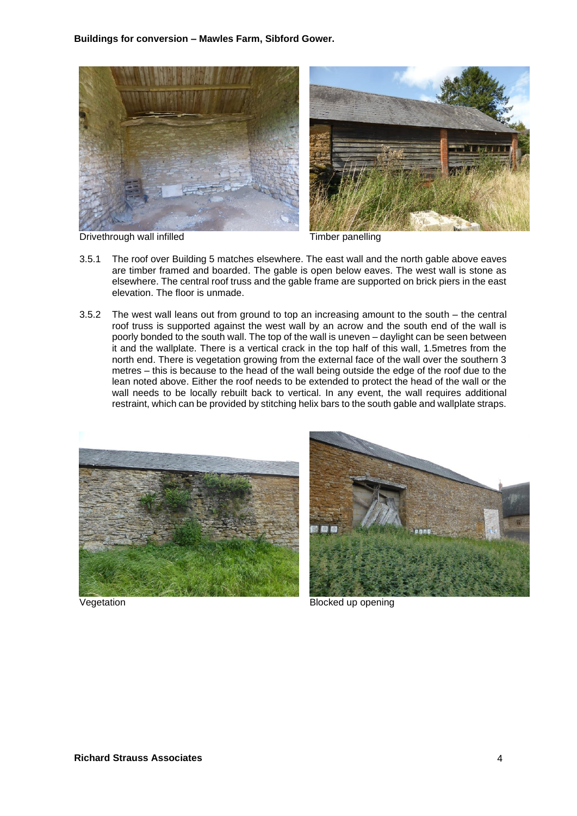**Buildings for conversion – Mawles Farm, Sibford Gower.**



Drivethrough wall infilled Timber panelling

- 3.5.1 The roof over Building 5 matches elsewhere. The east wall and the north gable above eaves are timber framed and boarded. The gable is open below eaves. The west wall is stone as elsewhere. The central roof truss and the gable frame are supported on brick piers in the east elevation. The floor is unmade.
- 3.5.2 The west wall leans out from ground to top an increasing amount to the south the central roof truss is supported against the west wall by an acrow and the south end of the wall is poorly bonded to the south wall. The top of the wall is uneven – daylight can be seen between it and the wallplate. There is a vertical crack in the top half of this wall, 1.5metres from the north end. There is vegetation growing from the external face of the wall over the southern 3 metres – this is because to the head of the wall being outside the edge of the roof due to the lean noted above. Either the roof needs to be extended to protect the head of the wall or the wall needs to be locally rebuilt back to vertical. In any event, the wall requires additional restraint, which can be provided by stitching helix bars to the south gable and wallplate straps.





Vegetation **Blocked** up opening